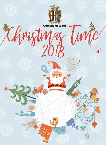

Comune di Lecco Christings Timte

 $2018$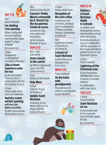# **SAT 1/12**

# 3pm piazza Garibaldi **Ice skating rink opening**

Ribbon cutting with food and entertainment by artistic figure skaters "La fiaba di Natale"

By Lunaservice

3.30pm Kindergarten "La Mongolfiera" via Caduti di Nassiriya 1

# **Like a clown Superhero under the tree**

By the Association "Fiume di vita" in collaboration with the Municipality of Lecco

5.30pm Palazzo delle Paure piazza XX Settembre

# **Nativity scene exhibit opening with the Coro Alpino Lecchese**

By AIAP Lecco and the Municipality of Lecco

# 9pm Basilica di San Nicolò

**Concert: Petite Messe solennelle by G. Rossini by the Accademia Corale di Lecco**

Concert for choir solos, piano and harmonium By the Consulta Musicale di Lecco

# **SUN 2/12**

8am - 7pm viale Dante

## **Xmas stands in the centre**

By ANVA Confesercenti Lecco and FIVA Confcommercio

 $10am$ Basilica di San Nicolò

# **Holy Mass**

11.15am Sala Don Ticozzi via Ongania 4

# **Golden Saint Nicholas**

Ceremony of Civic Merits with the Coro Grigna dell'ANA Section of Lecco

### 3.30pm Palazzo delle Paure

# **Reception of the twin cities**

Institutional and Christmas greetings with the delegations of Macon, Igualada, Overijse, Szombathely and Mytyshi

4pm Auditorium Camera di Commercio via Tonale 30

# **Concert of Saint Nicholas**

By the Filarmonica Giuseppe Verdi from Lecco

# **MON 3/12**

Piazza Garibaldi

**On the track with** 

# **grandparents**

Free afternoon for children accompanied by grandparents

# **WED 5/12**

**Delivery of Saint Nicholas' Apple in schools**

To children of all kindergartens, primary and secondary schools with meal service

By the Municipality of Lecco in collaboration with the association of the "scuole dell'infanzia paritarie di Lecco" and Dussmann Service

5.30pm Piazza Garibaldi

# **Lightning of the Christmas tree**

By the Association INPRIMALINEA Onlus - Il cancro si combatte insieme

In collaboration with Linee Lecco

# **THU 6/12**

2.30pm Piazza Garibaldi

# **Saint Nicholas on ice**

Entertainment and fun for everyone. Saint Nicholas' apples for kids By Lunaservice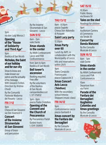# **SAT 15/12**

10.30am Public library via Bovara 58

# **Tales on the sled**

Readings for children

9pm Auditorium Camera di Commercio via Tonale 30

# **Concert by Banda Manzoni**

By the Consulta Musicale di Lecco

# **SUN 16/12**

8am - 7pm viale Dante

# **Xmas stands in the center**

By ANVA Confesercenti Lecco and FIVA Confcommercio

10am Departure from via Parini

# **Parade of the Fanfara dei Bersaglieri Guglielmo Colombo and Xmas greetings**

By the Consulta Musicale di Lecco



By the Insieme Strumentale di San Giovanni - Lecco

# **SUN 9/12**

8am - 7pm viale Dante

# **Xmas stands in the center**

By ANVA Confesercenti Lecco and FIVA Confcommercio

from 3pm to 6pm Basilica di San Nicolò

# **Bell tower's ascension**

Booking required. Free offer By the volunteers of the Basilica di San Nicolò campaniledilecco.it

3pm - 6pm piazza Padre Cristoforo **Opening of the Convent and the Church of Pescarenico**

By Pescarenico Parish Guided tours: t. 0341 350693

3pm via don Luigi Monza 2

# **Opening of the "House of Solidarity and Third Age"**

9<sub>nm</sub>

Basilica di San Nicolò

# **Nicholas, the Saint of our holiday and for our city**

Show to know and make known our patron and the actuality of his message. With Giovanni Scifoni. Direction by Andrea Chiodi

By the Comunità Pastorale Madonna del Rosario - Lecco

# **FRI 7/12**

9<sub>nm</sub>

Chiesa di San Giovanni via Don Invernizzi 5

# **Concert of the Insieme Strumentale di San Giovanni**

Group of brass and percussion t. 371 1758132

# 9<sub>nm</sub>

Confcommercio Lecco piazza Garibaldi 4

# **Xmas concert by the Fanfara dei Bersaglieri**

By the Consulta Musicale di Lecco

# **over 60** Lunch by AVPL in

**THU 13/12** 8am - 8.30pm piazza Sagrato Chiesa Don Abbondio di Acquate **Saint Lucy party**

12.30pm **Xmas Party** 

collaboration with the Municipality of Lecco Info and reservations within 29/11

#### 9<sub>nm</sub>

Teatro Cenacolo Francescano piazza Cappuccini 3

# **Xmas Concert Avis Lecco (Telethon)**

With the secondary school Antonio Stoppani (music class)

# **FRI 14/12**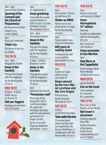$3$ pm - 6pm piazza Padre Cristoforo

# **Opening of the Convent and the Church of Pescarenico**

By Pescarenico Parish Guided tours: t. 0341 350693

 $4nm$ Piazza XX Settembre

# **Tribal city**

100 drums in the city By CRAMS

# **TUE 18/12**

2pm - 5pm Maggianico hamlet

# **Xmas in the hamlets**

Through the streets with the bagpipers By the Municipality of Lecco

# **WED 19/12**

10.30am - 11.30am Public library via Bovara 58

# **Nati per leggere**

Readings for kids from 18 to 36 months

 $2<sub>nm</sub>$ via Tagliamento 5

# **Xmas greetsing**

Party with the people and the families of CDD in Lecco "La Casa di Stefano". By the Municipality of Lecco

2pm - 5pm Pescarenico hamlet

# **Xmas in the hamlets**

Through the streets with the bagpipers By the Municipality of Lecco

3.30pm - 6.30pm Bonacina hamlet **Xmas in the** 

# **hamlets**

Through the streets with the bagpipers By the Municipality of Lecco

## 9<sub>nm</sub>

Basilica di San Nicolò **"Fermarono i cieli"**

The songs of the Neapolitan crib of Sant'Alfonso Maria Dè Liguori, by Ambrogio Sparagna with the extraordinary participation of Peppe Servillo By the Comunità Pastorale Madonna del Rosario - Lecco

# **THU 20/12**

6<sub>pm</sub> Civic Center S. Pertini via dell'Eremo 28

# **Shake up XMAS**

Performance and artist talents on stage By the Municipality of Lecco

9pm Palazzo delle Paure Piazza XX Settembre

# **800 years of nativity scene**

Conference by AIAP Lecco and the Municipality of Lecco

# **FRI 21/12**

9<sub>nm</sub> Auditorium Casa dell'Economia via Tonale 30

# **Xmas concert by the Coro Alpi- no Lecchese and the Coro Grigna**

Free entrance By the Consulta Musicale di Lecco

# **SAT 22/12**

5.15pm corner Torre Viscontea **Tube under the tree** 

Christmas tunes played by bass tuba and euphonium. By the ass. Bethlehem, in collaboration with the Municipality of Lecco

# **SUN 23/12**

11am Renzo e Lucia hall via Bainsizza 6 (Olate)

# **Xmas Atmospheres 13rd edition**

**Opening** By GAO, in collaboration with the Municipality of Lecco

8pm Departure via Paradiso 2

# **Xmas ascension to San Martino**

9pm

# **Holy Mass at the Cappelletta**

By the Gruppo Alpini Monte Medale of Rancio and Laorca

# **MON 24/12**

piazza Garibaldi

# **Eve on the track**

Little panettoni for everyone By Lunaservice

# **THU 27/12**

from 3pm to 6pm Basilica di San Nicolò

# **Bell tower's ascension**

Booking required. Free offer.

by the volunteers of the Basilica of San Nicolò campaniledilecco.it tel. 371 1758132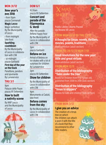# **MON 31/12**

# **New year's eve 2018**

 $em$  from 10pm piazza Cermenati

# **Magic Lecco**

Magic exhibition By the Municipality of Lecco

• from midnight lake front

## **Sparkling countdown**

By the Municipality of Lecco in collaboration with ITM

• at midnight piazza Garibaldi

# **First day of the year on the track**

Panettone, pandoro and spumante By Lunaservice

# **THU 3/1**

#### 9pm

Palazzo delle Paure piazza XX Settembre

# **How to built a nativity scene**

By AIAP Lecco and the Municipality of Lecco

# **DOM 6/1**

10.30am piazza XX Settembre

# **Concert and parade of the Filarmonica G. Verdi**

After the parade: Befana happy hour By the Municipality of Lecco in collaboration with ITM

# 3pm

piazza Garibaldi

# **Befana on ice**

Arrival of Befana on ice skates with a lot of surprises for children By Lunaservice

# 3pm

# piazza XX Settembre **Show for children**

By the Municipality of Lecco in collaboration with **ITM** 

## 4pm Monumento ai Caduti, lake front

# **Befana comes from the sky**

By the Municipality of Lecco in collaboration with ITM

# **X** MAS **SHELF**

Public Library Uberto Pozzoli via Bovara 58 Lecco

# **FROM MON 10/12 TO THU 27**

**A thought for Xmas: novels, thrillers, movies, poems, traditions**

Book exhibition (adult section)

# **FROM FRI 28/12 TO MON 7/01**

# **Good resolutions for the new year: little and great virtues**

Book exhibition (adult section)

# **FROM MON 12/1**

# **Distribution of the bibliography "Tales under the tree"**

Books for children from 4 to 7 years old, published from 2008 to 2018 (kids section)

# **Distribution of the bibliography "Xmas in slippers"**

Movies for kids and children (kids section)

# **FROM MON 3/12**

# **I give you an advice**

The creation of a Xmas tree on which the children can attach a post-it with the title of a book that they recommend to other little readers.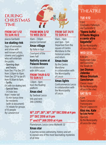# DURING<br>CHRISTMAS<br>TIME

# **FROM SAT 1/12 TO SUN 10/2**

# piazza Garibaldi **Ice skating rink**

Days of animation and show with well-known artists. clowns and jugglers who will entertain the public.

• Opening days and hours:

from Dec 1st to Dec 21st. from 3.30pm to 10pm. From Dec 22nd to Jan 6th: from 10.30am to 11pm.

- Tariffs:
- 6 € with ice-skating rent
- Special fees:
- 3 € kids less than 1 meter tall
- 15 min bonus time for residents (with id document)
- 1 € rebate for groups of 10 people By Lunaservice

# **FROM MON 3/12 TO WED 26/12**

10am - 7.30pm piazza Cermenati

# **Xmas village**

By Italia in tour

Courtyard of the town hall

# **Nativity scene at Palazzo Bovara**

In collaboration with AIPA Lecco

# **FROM THUR 6/12 TO SUN 6/1**

1.30pm - 6pm from the floating platform

# **Xmas sled**

By Taxiboat Lecco Info and rent: 349 2290952

# **FROM SAT 24/11 TO SUN 6/1**

10am - 13pm and 3pm - 7pm Departure from the square of Centro Meridiana to the historical center and return

# **Xmas train**

By the Centro Meridiana in collaboration with the Municipality of Lecco

# **Xmas lights**

Confcommercio Lecco In collaboration with the Municipality of Lecco

# **THEATRE**

# **TUE 4/12**

9 pm Cineteatro Palladium via Fiumicella 12

# **"Opera buffa! Il Flauto Magico e cento altre bagatelle"**

By the Municipality of Lecco (for a fee)

# **WED 12/12**

8.30 pm Auditorium Casa dell'Economia Via Tonale 28

# **Jan Dismas Zelenka Missa Omnium Sanctorum**

Classic music By the Municipality of Lecco (for a fee)

# **SAT 15/12**

4 pm Teatro Cenacolo Francescano Piazza Cappuccini

# **Kiss me, Kate by Cole Porter**

**Operetta** By the Municipality of Lecco (for a fee)

# **16TH, 23RD, 26TH, 30TH, 31ST DEC 2018 at 4 pm 21ST DEC 2018 at 9 pm 1 ST and 6TH JAN 2019 at 4 pm**

Planetarium, Lecco corso Matteotti 32

# **Xmas star**

A journey across astronomy, history and art to explain one of the most fascinating mysteries of all time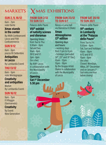# **SUN 2, 9, 16/12**

8am - 7pm viale Dante

# **Xmas stands in the center**

By ANVA Confesercenti Lecco and FIVA Confcommercio

# **SUN 9/12**

8am - 6pm piazza XX Settembre

# **Antiquities in Lecco**

By Lombardia Eventi

# **THU 13/12**

8am - 5pm viale Montegrappa

# **Creativity and antiquities**

Market By Lombardia Eventi

# **SUN 16/12**

9am - 7pm Il Villaggio (Germanedo)

# **Creativity**

By Eventi New Generation

# $MARKETS$  **X** MAS EXHIBITIONS

# **FROM SUN 2/12 TO SUN 13/1**

Palazzo delle Paure **VIIIth exhibit of nativity scenes and dioramas**

Opening times: from Tue to Thu: 9.30am - 6pm Sat and Sun: 10am - 6pm 26/12 and 1/1: 2pm - 6pm (for a fee) By AIAP Lecco in collaboration with the Municipality of Lecco

# **Opening Sat 1st December 5.30 pm**

# **FROM SUN 23/12 TO SUN 6/1**

Renzo e Lucia hall via Bainsizza 6 (Olate)

# **Xmas Atmospheres 13th edition**

Opening days and hours: • working days from 3 pm to 6 pm • holidays [excluded 24<sup>th</sup>, 25<sup>th</sup> and 31<sup>st</sup> Dec1 10am - 12pm 15pm - 18pm By the Gruppo Artisti Olatesi in collaboration with the Municipality of Lecco

# **FROM SAT 20/10 TO SUN 20/1**

#### Palazzo delle Paure

# **19th century in Lombardy at the "Palazzo delle Paure"**

From Tue to Fri: 9.30am - 6pm Sat, Sun and holidays: 10am - 18pm 6/12 and 8/12: 10am - 6pm (for a fee) Closed: Mondays, XMas, 26th December and on January 1st (last entry one hour before closing)